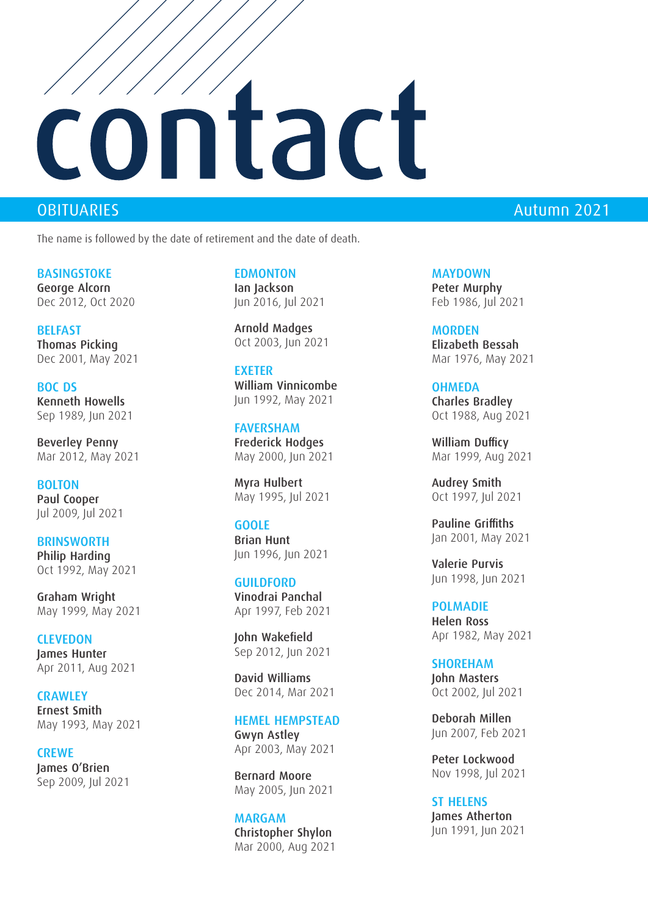# ntact

The name is followed by the date of retirement and the date of death.

BASINGSTOKE George Alcorn Dec 2012, Oct 2020

**BELFAST** Thomas Picking Dec 2001, May 2021

BOC DS Kenneth Howells Sep 1989, Jun 2021

Beverley Penny Mar 2012, May 2021

BOLTON Paul Cooper Jul 2009, Jul 2021

**BRINSWORTH** Philip Harding Oct 1992, May 2021

Graham Wright May 1999, May 2021

**CLEVEDON** James Hunter Apr 2011, Aug 2021

**CRAWLEY** Ernest Smith May 1993, May 2021

**CREWE** James O'Brien Sep 2009, Jul 2021 **EDMONTON** Ian Jackson Jun 2016, Jul 2021

Arnold Madges Oct 2003, Jun 2021

EXETER William Vinnicombe Jun 1992, May 2021

FAVERSHAM Frederick Hodges May 2000, Jun 2021

Myra Hulbert May 1995, Jul 2021

### GOOLE

Brian Hunt Jun 1996, Jun 2021

GUILDFORD Vinodrai Panchal Apr 1997, Feb 2021

John Wakefield Sep 2012, Jun 2021

David Williams Dec 2014, Mar 2021

### HEMEL HEMPSTEAD

Gwyn Astley Apr 2003, May 2021

Bernard Moore May 2005, Jun 2021

MARGAM Christopher Shylon Mar 2000, Aug 2021

## OBITUARIES Autumn 2021

MAYDOWN Peter Murphy Feb 1986, Jul 2021

MORDEN Elizabeth Bessah Mar 1976, May 2021

### **OHMEDA**

Charles Bradley Oct 1988, Aug 2021

William Dufficy Mar 1999, Aug 2021

Audrey Smith Oct 1997, Jul 2021

Pauline Griffiths Jan 2001, May 2021

Valerie Purvis Jun 1998, Jun 2021

POLMADIE Helen Ross Apr 1982, May 2021

SHOREHAM John Masters Oct 2002, Jul 2021

Deborah Millen Jun 2007, Feb 2021

Peter Lockwood Nov 1998, Jul 2021

ST HELENS James Atherton Jun 1991, Jun 2021